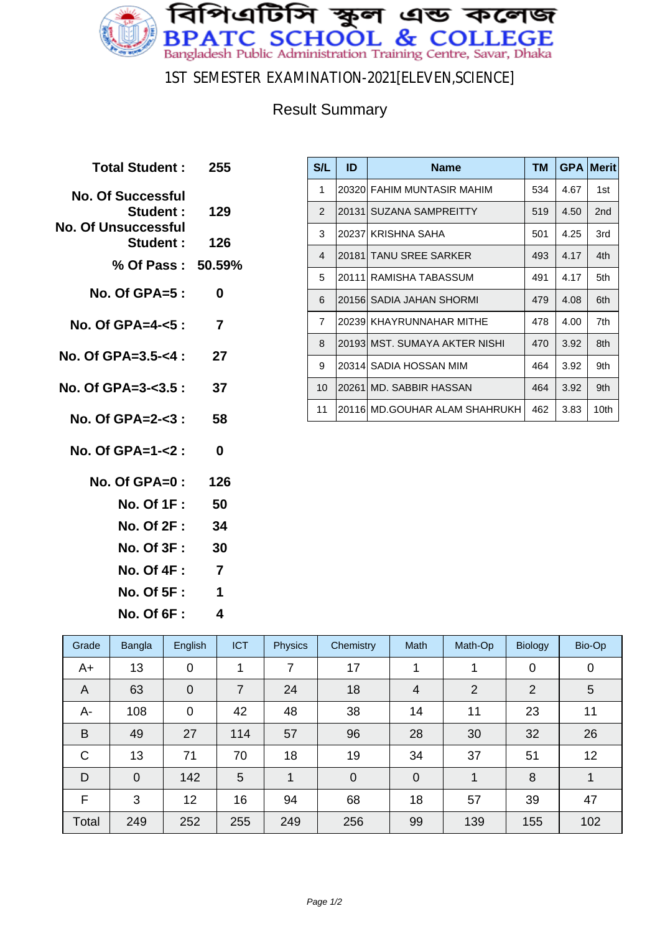

1ST SEMESTER EXAMINATION-2021[ELEVEN,SCIENCE]

## Result Summary

| Total Student :                                                     | - 255          |
|---------------------------------------------------------------------|----------------|
| <b>No. Of Successful</b><br>Student :<br><b>No. Of Unsuccessful</b> | 129            |
| Student: 126                                                        |                |
| % Of Pass: 50.59%                                                   |                |
| $No. Of GPA = 5:$                                                   | 0              |
| No. Of GPA=4- $<$ 5 :                                               | 7              |
| No. Of GPA=3.5-<4 : 27                                              |                |
| No. Of GPA=3-<3.5 : 37                                              |                |
| No. Of GPA=2- $<$ 3 :                                               | 58             |
| No. Of GPA=1- $<$ 2 :                                               | $\mathbf{0}$   |
| No. Of GPA=0: 126                                                   |                |
| No. Of 1F : <b>M</b>                                                | 50             |
| No. Of 2F : 34                                                      |                |
| No. Of 3F :                                                         | 30             |
| <b>No. Of 4F :</b>                                                  | $\overline{7}$ |
| No. Of 5F : <b>_</b>                                                | 1              |

**No. Of 6F : 4**

| S/L            | ID     | <b>Name</b>                    | <b>TM</b> | <b>GPA</b> | <b>Merit</b>    |
|----------------|--------|--------------------------------|-----------|------------|-----------------|
| 1              |        | 20320 FAHIM MUNTASIR MAHIM     | 534       | 4.67       | 1st             |
| $\overline{2}$ | 20131  | SUZANA SAMPREITTY              | 519       | 4.50       | 2 <sub>nd</sub> |
| 3              | 202371 | KRISHNA SAHA                   | 501       | 4.25       | 3rd             |
| 4              | 201811 | <b>TANU SREE SARKER</b>        | 493       | 4.17       | 4th             |
| 5              |        | 20111 RAMISHA TABASSUM         | 491       | 4.17       | 5th             |
| 6              |        | 20156 SADIA JAHAN SHORMI       | 479       | 4.08       | 6th             |
| $\overline{7}$ |        | 20239 KHAYRUNNAHAR MITHE       | 478       | 4.00       | 7th             |
| 8              |        | 20193  MST. SUMAYA AKTER NISHI | 470       | 3.92       | 8th             |
| 9              | 20314  | SADIA HOSSAN MIM               | 464       | 3.92       | 9th             |
| 10             | 20261  | MD. SABBIR HASSAN              | 464       | 3.92       | 9th             |
| 11             | 201161 | MD.GOUHAR ALAM SHAHRUKH        | 462       | 3.83       | 10th            |

| Grade | Bangla      | English        | <b>ICT</b> | <b>Physics</b> | Chemistry      | <b>Math</b>    | Math-Op        | <b>Biology</b> | Bio-Op      |
|-------|-------------|----------------|------------|----------------|----------------|----------------|----------------|----------------|-------------|
| A+    | 13          | 0              | 1          | 7              | 17             |                |                | $\mathbf 0$    | $\mathbf 0$ |
| A     | 63          | $\overline{0}$ | 7          | 24             | 18             | 4              | $\overline{2}$ | 2              | 5           |
| A-    | 108         | $\overline{0}$ | 42         | 48             | 38             | 14             | 11             | 23             | 11          |
| B     | 49          | 27             | 114        | 57             | 96             | 28             | 30             | 32             | 26          |
| C     | 13          | 71             | 70         | 18             | 19             | 34             | 37             | 51             | 12          |
| D     | $\mathbf 0$ | 142            | 5          | 1              | $\overline{0}$ | $\overline{0}$ | 1              | 8              | 1           |
| F     | 3           | 12             | 16         | 94             | 68             | 18             | 57             | 39             | 47          |
| Total | 249         | 252            | 255        | 249            | 256            | 99             | 139            | 155            | 102         |